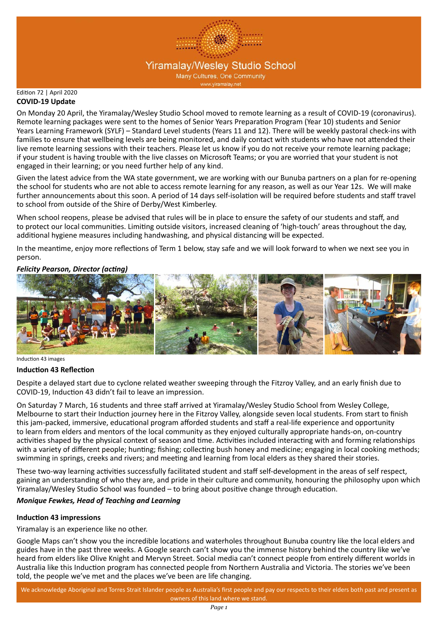

#### Edition 72 | April 2020 **COVID-19 Update**

On Monday 20 April, the Yiramalay/Wesley Studio School moved to remote learning as a result of COVID-19 (coronavirus). Remote learning packages were sent to the homes of Senior Years Preparation Program (Year 10) students and Senior Years Learning Framework (SYLF) – Standard Level students (Years 11 and 12). There will be weekly pastoral check-ins with families to ensure that wellbeing levels are being monitored, and daily contact with students who have not attended their live remote learning sessions with their teachers. Please let us know if you do not receive your remote learning package; if your student is having trouble with the live classes on Microsoft Teams; or you are worried that your student is not engaged in their learning; or you need further help of any kind.

Given the latest advice from the WA state government, we are working with our Bunuba partners on a plan for re-opening the school for students who are not able to access remote learning for any reason, as well as our Year 12s. We will make further announcements about this soon. A period of 14 days self-isolation will be required before students and staff travel to school from outside of the Shire of Derby/West Kimberley.

When school reopens, please be advised that rules will be in place to ensure the safety of our students and staff, and to protect our local communities. Limiting outside visitors, increased cleaning of 'high-touch' areas throughout the day, additional hygiene measures including handwashing, and physical distancing will be expected.

In the meantime, enjoy more reflections of Term 1 below, stay safe and we will look forward to when we next see you in person.

## *Felicity Pearson, Director (acting)*



Induction 43 images

## **Induction 43 Reflection**

Despite a delayed start due to cyclone related weather sweeping through the Fitzroy Valley, and an early finish due to COVID-19, Induction 43 didn't fail to leave an impression.

On Saturday 7 March, 16 students and three staff arrived at Yiramalay/Wesley Studio School from Wesley College, Melbourne to start their Induction journey here in the Fitzroy Valley, alongside seven local students. From start to finish this jam-packed, immersive, educational program afforded students and staff a real-life experience and opportunity to learn from elders and mentors of the local community as they enjoyed culturally appropriate hands-on, on-country activities shaped by the physical context of season and time. Activities included interacting with and forming relationships with a variety of different people; hunting; fishing; collecting bush honey and medicine; engaging in local cooking methods; swimming in springs, creeks and rivers; and meeting and learning from local elders as they shared their stories.

These two-way learning activities successfully facilitated student and staff self-development in the areas of self respect, gaining an understanding of who they are, and pride in their culture and community, honouring the philosophy upon which Yiramalay/Wesley Studio School was founded – to bring about positive change through education.

## *Monique Fewkes, Head of Teaching and Learning*

## **Induction 43 impressions**

Yiramalay is an experience like no other.

Google Maps can't show you the incredible locations and waterholes throughout Bunuba country like the local elders and guides have in the past three weeks. A Google search can't show you the immense history behind the country like we've heard from elders like Olive Knight and Mervyn Street. Social media can't connect people from entirely different worlds in Australia like this Induction program has connected people from Northern Australia and Victoria. The stories we've been told, the people we've met and the places we've been are life changing.

We acknowledge Aboriginal and Torres Strait Islander people as Australia's first people and pay our respects to their elders both past and present as owners of this land where we stand.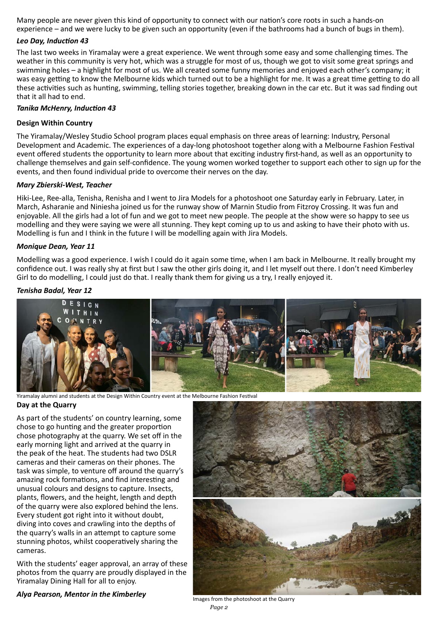Many people are never given this kind of opportunity to connect with our nation's core roots in such a hands-on experience – and we were lucky to be given such an opportunity (even if the bathrooms had a bunch of bugs in them).

## *Leo Day, Induction 43*

The last two weeks in Yiramalay were a great experience. We went through some easy and some challenging times. The weather in this community is very hot, which was a struggle for most of us, though we got to visit some great springs and swimming holes – a highlight for most of us. We all created some funny memories and enjoyed each other's company; it was easy getting to know the Melbourne kids which turned out to be a highlight for me. It was a great time getting to do all these activities such as hunting, swimming, telling stories together, breaking down in the car etc. But it was sad finding out that it all had to end.

## *Tanika McHenry, Induction 43*

## **Design Within Country**

The Yiramalay/Wesley Studio School program places equal emphasis on three areas of learning: Industry, Personal Development and Academic. The experiences of a day-long photoshoot together along with a Melbourne Fashion Festival event offered students the opportunity to learn more about that exciting industry first-hand, as well as an opportunity to challenge themselves and gain self-confidence. The young women worked together to support each other to sign up for the events, and then found individual pride to overcome their nerves on the day.

## *Mary Zbierski-West, Teacher*

Hiki-Lee, Ree-alla, Tenisha, Renisha and I went to Jira Models for a photoshoot one Saturday early in February. Later, in March, Asharanie and Niniesha joined us for the runway show of Marnin Studio from Fitzroy Crossing. It was fun and enjoyable. All the girls had a lot of fun and we got to meet new people. The people at the show were so happy to see us modelling and they were saying we were all stunning. They kept coming up to us and asking to have their photo with us. Modelling is fun and I think in the future I will be modelling again with Jira Models.

## *Monique Dean, Year 11*

Modelling was a good experience. I wish I could do it again some time, when I am back in Melbourne. It really brought my confidence out. I was really shy at first but I saw the other girls doing it, and I let myself out there. I don't need Kimberley Girl to do modelling, I could just do that. I really thank them for giving us a try, I really enjoyed it.

## *Tenisha Badal, Year 12*



Yiramalay alumni and students at the Design Within Country event at the Melbourne Fashion Festival

## **Day at the Quarry**

As part of the students' on country learning, some chose to go hunting and the greater proportion chose photography at the quarry. We set off in the early morning light and arrived at the quarry in the peak of the heat. The students had two DSLR cameras and their cameras on their phones. The task was simple, to venture off around the quarry's amazing rock formations, and find interesting and unusual colours and designs to capture. Insects, plants, flowers, and the height, length and depth of the quarry were also explored behind the lens. Every student got right into it without doubt, diving into coves and crawling into the depths of the quarry's walls in an attempt to capture some stunning photos, whilst cooperatively sharing the cameras.

With the students' eager approval, an array of these photos from the quarry are proudly displayed in the Yiramalay Dining Hall for all to enjoy.

# *Alya Pearson, Mentor in the Kimberley* Images from the photoshoot at the Quarry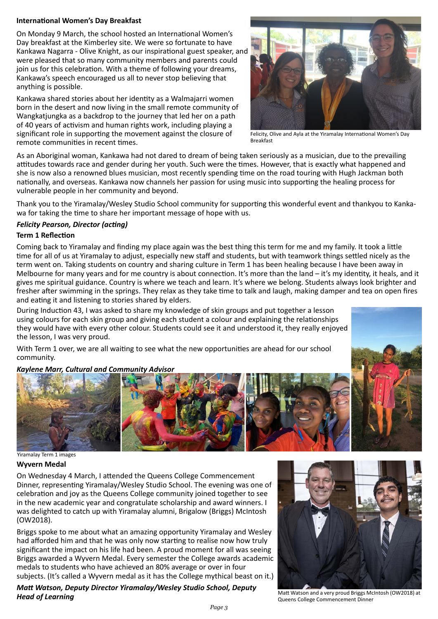## **International Women's Day Breakfast**

On Monday 9 March, the school hosted an International Women's Day breakfast at the Kimberley site. We were so fortunate to have Kankawa Nagarra - Olive Knight, as our inspirational guest speaker, and were pleased that so many community members and parents could join us for this celebration. With a theme of following your dreams, Kankawa's speech encouraged us all to never stop believing that anything is possible.

Kankawa shared stories about her identity as a Walmajarri women born in the desert and now living in the small remote community of Wangkatjungka as a backdrop to the journey that led her on a path of 40 years of activism and human rights work, including playing a significant role in supporting the movement against the closure of remote communities in recent times.



Felicity, Olive and Ayla at the Yiramalay International Women's Day Breakfast

As an Aboriginal woman, Kankawa had not dared to dream of being taken seriously as a musician, due to the prevailing attitudes towards race and gender during her youth. Such were the times. However, that is exactly what happened and she is now also a renowned blues musician, most recently spending time on the road touring with Hugh Jackman both nationally, and overseas. Kankawa now channels her passion for using music into supporting the healing process for vulnerable people in her community and beyond.

Thank you to the Yiramalay/Wesley Studio School community for supporting this wonderful event and thankyou to Kankawa for taking the time to share her important message of hope with us.

## *Felicity Pearson, Director (acting)*

## **Term 1 Reflection**

Coming back to Yiramalay and finding my place again was the best thing this term for me and my family. It took a little time for all of us at Yiramalay to adjust, especially new staff and students, but with teamwork things settled nicely as the term went on. Taking students on country and sharing culture in Term 1 has been healing because I have been away in Melbourne for many years and for me country is about connection. It's more than the land – it's my identity, it heals, and it gives me spiritual guidance. Country is where we teach and learn. It's where we belong. Students always look brighter and fresher after swimming in the springs. They relax as they take time to talk and laugh, making damper and tea on open fires and eating it and listening to stories shared by elders.

During Induction 43, I was asked to share my knowledge of skin groups and put together a lesson using colours for each skin group and giving each student a colour and explaining the relationships they would have with every other colour. Students could see it and understood it, they really enjoyed the lesson, I was very proud.

With Term 1 over, we are all waiting to see what the new opportunities are ahead for our school community.

## *Kaylene Marr, Cultural and Community Advisor*



Yiramalay Term 1 images

## **Wyvern Medal**

On Wednesday 4 March, I attended the Queens College Commencement Dinner, representing Yiramalay/Wesley Studio School. The evening was one of celebration and joy as the Queens College community joined together to see in the new academic year and congratulate scholarship and award winners. I was delighted to catch up with Yiramalay alumni, Brigalow (Briggs) McIntosh (OW2018).

Briggs spoke to me about what an amazing opportunity Yiramalay and Wesley had afforded him and that he was only now starting to realise now how truly significant the impact on his life had been. A proud moment for all was seeing Briggs awarded a Wyvern Medal. Every semester the College awards academic medals to students who have achieved an 80% average or over in four subjects. (It's called a Wyvern medal as it has the College mythical beast on it.)

*Matt Watson, Deputy Director Yiramalay/Wesley Studio School, Deputy Head of Learning*



Matt Watson and a very proud Briggs McIntosh (OW2018) at Queens College Commencement Dinner